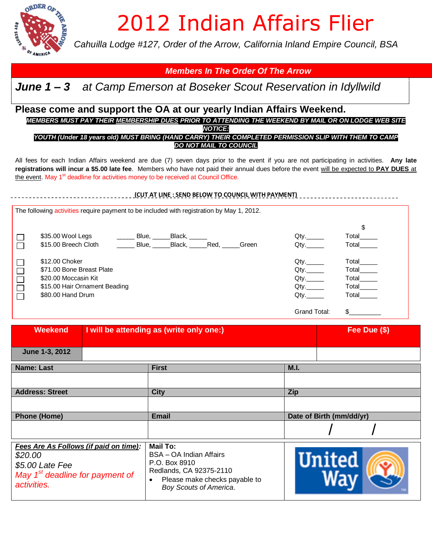

## 2012 Indian Affairs Flier

*Cahuilla Lodge #127, Order of the Arrow, California Inland Empire Council, BSA*

## *Members In The Order Of The Arrow*

## *June 1 – 3 at Camp Emerson at Boseker Scout Reservation in Idyllwild*

## **Please come and support the OA at our yearly Indian Affairs Weekend.**

*MEMBERS MUST PAY THEIR MEMBERSHIP DUES PRIOR TO ATTENDING THE WEEKEND BY MAIL OR ON LODGE WEB SITE NOTICE:*

*YOUTH (Under 18 years old) MUST BRING (HAND CARRY) THEIR COMPLETED PERMISSION SLIP WITH THEM TO CAMP DO NOT MAIL TO COUNCIL*

All fees for each Indian Affairs weekend are due (7) seven days prior to the event if you are not participating in activities. **Any late registrations will incur a \$5.00 late fee**. Members who have not paid their annual dues before the event will be expected to **PAY DUES** at the event. May 1<sup>st</sup> deadline for activities money to be received at Council Office.

|                                                                                           |                                                                                                                           |       |                                    |  | (CUT AT LINE: SEND BELOW TO COUNCIL WITH PAYMENT) |                                                  |                                                 |  |
|-------------------------------------------------------------------------------------------|---------------------------------------------------------------------------------------------------------------------------|-------|------------------------------------|--|---------------------------------------------------|--------------------------------------------------|-------------------------------------------------|--|
| The following activities require payment to be included with registration by May 1, 2012. |                                                                                                                           |       |                                    |  |                                                   |                                                  |                                                 |  |
| $\Box$<br>$\Box$                                                                          | \$35.00 Wool Legs<br>\$15.00 Breech Cloth                                                                                 | Blue. | _Black, _____<br>Blue, Black, Red, |  | Green                                             | $Q$ ty.<br>Qty.                                  | \$<br>Total<br>Total                            |  |
| $\Box$<br>$\Box$<br>$\Box$<br>$\Box$<br>$\Box$                                            | \$12,00 Choker<br>\$71.00 Bone Breast Plate<br>\$20.00 Moccasin Kit<br>\$15.00 Hair Ornament Beading<br>\$80.00 Hand Drum |       |                                    |  |                                                   | $Qty$ .<br>$Qty$ .<br>$Qty$ .<br>$Qty$ .<br>Qtv. | Total<br>Total<br>Total<br>Total Total<br>Total |  |
|                                                                                           |                                                                                                                           |       |                                    |  |                                                   | Grand Total:                                     | \$                                              |  |

| <b>Weekend</b>                                                                                                           | I will be attending as (write only one:)                                                                                                                | Fee Due (\$)             |  |
|--------------------------------------------------------------------------------------------------------------------------|---------------------------------------------------------------------------------------------------------------------------------------------------------|--------------------------|--|
| June 1-3, 2012                                                                                                           |                                                                                                                                                         |                          |  |
| <b>Name: Last</b>                                                                                                        | <b>First</b>                                                                                                                                            | M.I.                     |  |
|                                                                                                                          |                                                                                                                                                         |                          |  |
| <b>Address: Street</b>                                                                                                   | <b>City</b>                                                                                                                                             | <b>Zip</b>               |  |
|                                                                                                                          |                                                                                                                                                         |                          |  |
| <b>Phone (Home)</b>                                                                                                      | <b>Email</b>                                                                                                                                            | Date of Birth (mm/dd/yr) |  |
|                                                                                                                          |                                                                                                                                                         |                          |  |
| Fees Are As Follows (if paid on time):<br>\$20.00<br>\$5.00 Late Fee<br>May $1st$ deadline for payment of<br>activities. | Mail To:<br>BSA - OA Indian Affairs<br>P.O. Box 8910<br>Redlands, CA 92375-2110<br>Please make checks payable to<br>$\bullet$<br>Boy Scouts of America. | <b>United</b>            |  |